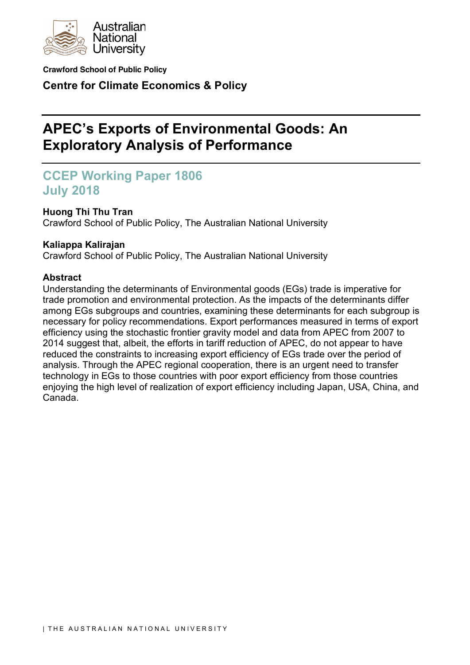

**Crawford School of Public Policy**

**Centre for Climate Economics & Policy**

# **APEC's Exports of Environmental Goods: An Exploratory Analysis of Performance**

## **CCEP Working Paper 1806 July 2018**

## **Huong Thi Thu Tran**

Crawford School of Public Policy, The Australian National University

## **Kaliappa Kalirajan**

Crawford School of Public Policy, The Australian National University

## **Abstract**

Understanding the determinants of Environmental goods (EGs) trade is imperative for trade promotion and environmental protection. As the impacts of the determinants differ among EGs subgroups and countries, examining these determinants for each subgroup is necessary for policy recommendations. Export performances measured in terms of export efficiency using the stochastic frontier gravity model and data from APEC from 2007 to 2014 suggest that, albeit, the efforts in tariff reduction of APEC, do not appear to have reduced the constraints to increasing export efficiency of EGs trade over the period of analysis. Through the APEC regional cooperation, there is an urgent need to transfer technology in EGs to those countries with poor export efficiency from those countries enjoying the high level of realization of export efficiency including Japan, USA, China, and Canada.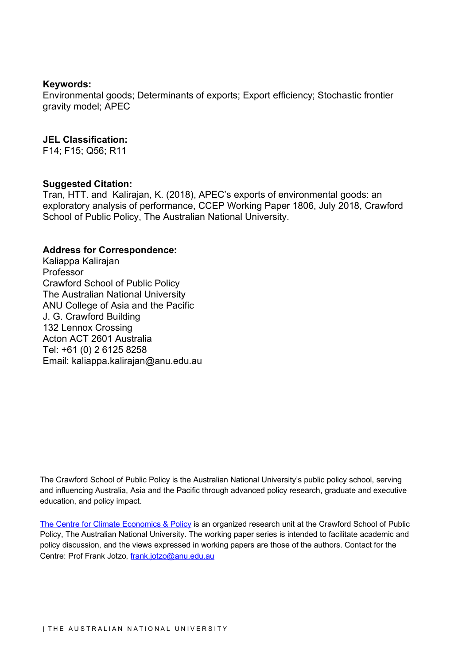#### **Keywords:**

Environmental goods; Determinants of exports; Export efficiency; Stochastic frontier gravity model; APEC

#### **JEL Classification:**

F14; F15; Q56; R11

#### **Suggested Citation:**

Tran, HTT. and Kalirajan, K. (2018), APEC's exports of environmental goods: an exploratory analysis of performance, CCEP Working Paper 1806, July 2018, Crawford School of Public Policy, The Australian National University.

#### **Address for Correspondence:**

Kaliappa Kalirajan Professor Crawford School of Public Policy The Australian National University ANU College of Asia and the Pacific J. G. Crawford Building 132 Lennox Crossing Acton ACT 2601 Australia Tel: +61 (0) 2 6125 8258 Email: kaliappa.kalirajan@anu.edu.au

The Crawford School of Public Policy is the Australian National University's public policy school, serving and influencing Australia, Asia and the Pacific through advanced policy research, graduate and executive education, and policy impact.

The Centre for Climate Economics & Policy is an organized research unit at the Crawford School of Public Policy, The Australian National University. The working paper series is intended to facilitate academic and policy discussion, and the views expressed in working papers are those of the authors. Contact for the Centre: Prof Frank Jotzo, frank.jotzo@anu.edu.au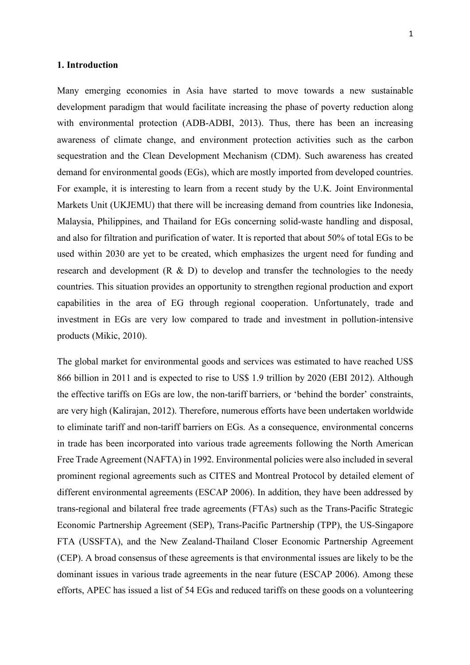#### **1. Introduction**

Many emerging economies in Asia have started to move towards a new sustainable development paradigm that would facilitate increasing the phase of poverty reduction along with environmental protection (ADB-ADBI, 2013). Thus, there has been an increasing awareness of climate change, and environment protection activities such as the carbon sequestration and the Clean Development Mechanism (CDM). Such awareness has created demand for environmental goods (EGs), which are mostly imported from developed countries. For example, it is interesting to learn from a recent study by the U.K. Joint Environmental Markets Unit (UKJEMU) that there will be increasing demand from countries like Indonesia, Malaysia, Philippines, and Thailand for EGs concerning solid-waste handling and disposal, and also for filtration and purification of water. It is reported that about 50% of total EGs to be used within 2030 are yet to be created, which emphasizes the urgent need for funding and research and development  $(R \& D)$  to develop and transfer the technologies to the needy countries. This situation provides an opportunity to strengthen regional production and export capabilities in the area of EG through regional cooperation. Unfortunately, trade and investment in EGs are very low compared to trade and investment in pollution-intensive products (Mikic, 2010).

The global market for environmental goods and services was estimated to have reached US\$ 866 billion in 2011 and is expected to rise to US\$ 1.9 trillion by 2020 (EBI 2012). Although the effective tariffs on EGs are low, the non-tariff barriers, or 'behind the border' constraints, are very high (Kalirajan, 2012). Therefore, numerous efforts have been undertaken worldwide to eliminate tariff and non-tariff barriers on EGs. As a consequence, environmental concerns in trade has been incorporated into various trade agreements following the North American Free Trade Agreement (NAFTA) in 1992. Environmental policies were also included in several prominent regional agreements such as CITES and Montreal Protocol by detailed element of different environmental agreements (ESCAP 2006). In addition, they have been addressed by trans-regional and bilateral free trade agreements (FTAs) such as the Trans-Pacific Strategic Economic Partnership Agreement (SEP), Trans-Pacific Partnership (TPP), the US-Singapore FTA (USSFTA), and the New Zealand-Thailand Closer Economic Partnership Agreement (CEP). A broad consensus of these agreements is that environmental issues are likely to be the dominant issues in various trade agreements in the near future (ESCAP 2006). Among these efforts, APEC has issued a list of 54 EGs and reduced tariffs on these goods on a volunteering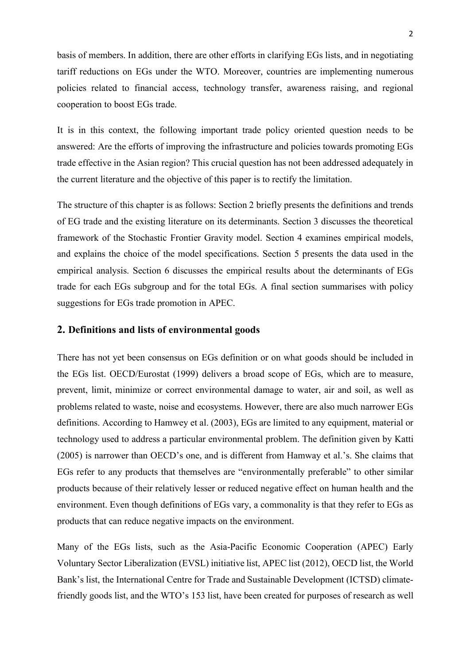basis of members. In addition, there are other efforts in clarifying EGs lists, and in negotiating tariff reductions on EGs under the WTO. Moreover, countries are implementing numerous policies related to financial access, technology transfer, awareness raising, and regional cooperation to boost EGs trade.

It is in this context, the following important trade policy oriented question needs to be answered: Are the efforts of improving the infrastructure and policies towards promoting EGs trade effective in the Asian region? This crucial question has not been addressed adequately in the current literature and the objective of this paper is to rectify the limitation.

The structure of this chapter is as follows: Section 2 briefly presents the definitions and trends of EG trade and the existing literature on its determinants. Section 3 discusses the theoretical framework of the Stochastic Frontier Gravity model. Section 4 examines empirical models, and explains the choice of the model specifications. Section 5 presents the data used in the empirical analysis. Section 6 discusses the empirical results about the determinants of EGs trade for each EGs subgroup and for the total EGs. A final section summarises with policy suggestions for EGs trade promotion in APEC.

#### **2. Definitions and lists of environmental goods**

There has not yet been consensus on EGs definition or on what goods should be included in the EGs list. OECD/Eurostat (1999) delivers a broad scope of EGs, which are to measure, prevent, limit, minimize or correct environmental damage to water, air and soil, as well as problems related to waste, noise and ecosystems. However, there are also much narrower EGs definitions. According to Hamwey et al. (2003), EGs are limited to any equipment, material or technology used to address a particular environmental problem. The definition given by Katti (2005) is narrower than OECD's one, and is different from Hamway et al.'s. She claims that EGs refer to any products that themselves are "environmentally preferable" to other similar products because of their relatively lesser or reduced negative effect on human health and the environment. Even though definitions of EGs vary, a commonality is that they refer to EGs as products that can reduce negative impacts on the environment.

Many of the EGs lists, such as the Asia-Pacific Economic Cooperation (APEC) Early Voluntary Sector Liberalization (EVSL) initiative list, APEC list (2012), OECD list, the World Bank's list, the International Centre for Trade and Sustainable Development (ICTSD) climatefriendly goods list, and the WTO's 153 list, have been created for purposes of research as well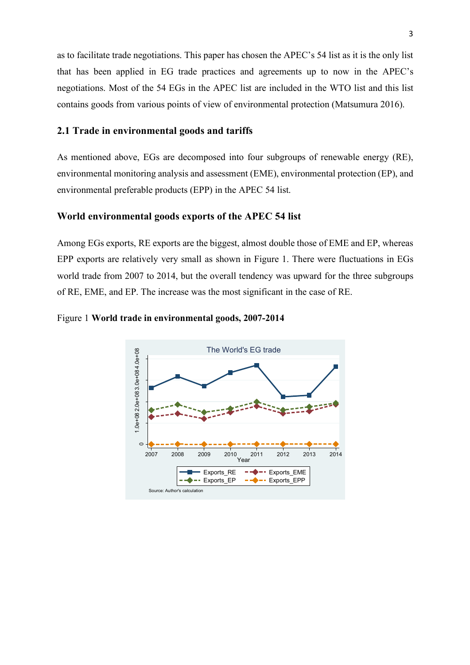as to facilitate trade negotiations. This paper has chosen the APEC's 54 list as it is the only list that has been applied in EG trade practices and agreements up to now in the APEC's negotiations. Most of the 54 EGs in the APEC list are included in the WTO list and this list contains goods from various points of view of environmental protection (Matsumura 2016).

#### **2.1 Trade in environmental goods and tariffs**

As mentioned above, EGs are decomposed into four subgroups of renewable energy (RE), environmental monitoring analysis and assessment (EME), environmental protection (EP), and environmental preferable products (EPP) in the APEC 54 list.

#### **World environmental goods exports of the APEC 54 list**

Among EGs exports, RE exports are the biggest, almost double those of EME and EP, whereas EPP exports are relatively very small as shown in Figure 1. There were fluctuations in EGs world trade from 2007 to 2014, but the overall tendency was upward for the three subgroups of RE, EME, and EP. The increase was the most significant in the case of RE.



Figure 1 **World trade in environmental goods, 2007-2014**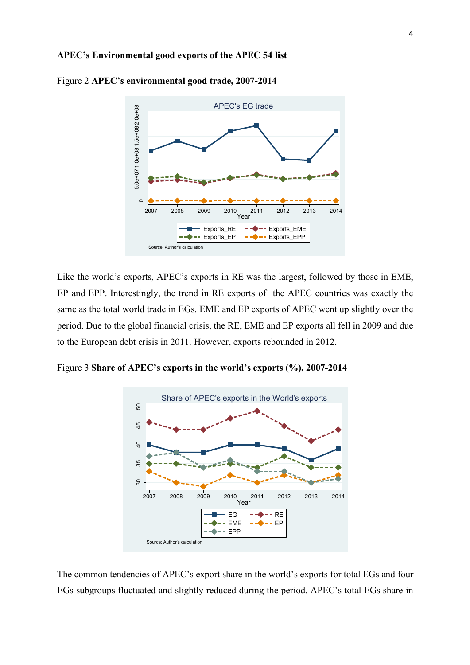

Figure 2 **APEC's environmental good trade, 2007-2014**

Like the world's exports, APEC's exports in RE was the largest, followed by those in EME, EP and EPP. Interestingly, the trend in RE exports of the APEC countries was exactly the same as the total world trade in EGs. EME and EP exports of APEC went up slightly over the period. Due to the global financial crisis, the RE, EME and EP exports all fell in 2009 and due to the European debt crisis in 2011. However, exports rebounded in 2012.

Figure 3 **Share of APEC's exports in the world's exports (%), 2007-2014**



The common tendencies of APEC's export share in the world's exports for total EGs and four EGs subgroups fluctuated and slightly reduced during the period. APEC's total EGs share in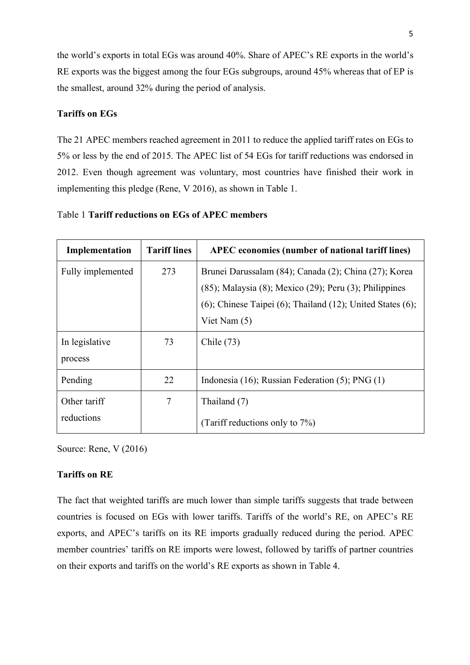the world's exports in total EGs was around 40%. Share of APEC's RE exports in the world's RE exports was the biggest among the four EGs subgroups, around 45% whereas that of EP is the smallest, around 32% during the period of analysis.

#### **Tariffs on EGs**

The 21 APEC members reached agreement in 2011 to reduce the applied tariff rates on EGs to 5% or less by the end of 2015. The APEC list of 54 EGs for tariff reductions was endorsed in 2012. Even though agreement was voluntary, most countries have finished their work in implementing this pledge (Rene, V 2016), as shown in Table 1.

| Implementation             | <b>Tariff lines</b> | <b>APEC</b> economies (number of national tariff lines)                                                                     |
|----------------------------|---------------------|-----------------------------------------------------------------------------------------------------------------------------|
| Fully implemented          | 273                 | Brunei Darussalam (84); Canada (2); China (27); Korea<br>$(85)$ ; Malaysia $(8)$ ; Mexico $(29)$ ; Peru $(3)$ ; Philippines |
|                            |                     | $(6)$ ; Chinese Taipei $(6)$ ; Thailand $(12)$ ; United States $(6)$ ;<br>Viet Nam $(5)$                                    |
| In legislative<br>process  | 73                  | Chile $(73)$                                                                                                                |
| Pending                    | 22                  | Indonesia (16); Russian Federation (5); $PNG(1)$                                                                            |
| Other tariff<br>reductions | 7                   | Thailand (7)<br>(Tariff reductions only to 7%)                                                                              |

|  |  | Table 1 Tariff reductions on EGs of APEC members |  |  |  |
|--|--|--------------------------------------------------|--|--|--|
|--|--|--------------------------------------------------|--|--|--|

Source: Rene, V (2016)

## **Tariffs on RE**

The fact that weighted tariffs are much lower than simple tariffs suggests that trade between countries is focused on EGs with lower tariffs. Tariffs of the world's RE, on APEC's RE exports, and APEC's tariffs on its RE imports gradually reduced during the period. APEC member countries' tariffs on RE imports were lowest, followed by tariffs of partner countries on their exports and tariffs on the world's RE exports as shown in Table 4.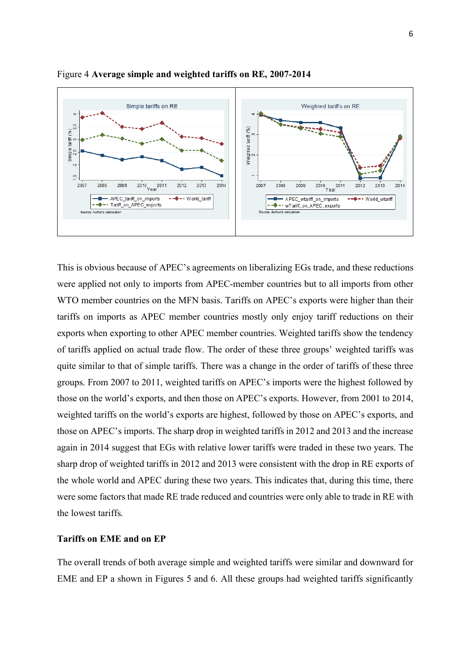

Figure 4 **Average simple and weighted tariffs on RE, 2007-2014**

This is obvious because of APEC's agreements on liberalizing EGs trade, and these reductions were applied not only to imports from APEC-member countries but to all imports from other WTO member countries on the MFN basis. Tariffs on APEC's exports were higher than their tariffs on imports as APEC member countries mostly only enjoy tariff reductions on their exports when exporting to other APEC member countries. Weighted tariffs show the tendency of tariffs applied on actual trade flow. The order of these three groups' weighted tariffs was quite similar to that of simple tariffs. There was a change in the order of tariffs of these three groups. From 2007 to 2011, weighted tariffs on APEC's imports were the highest followed by those on the world's exports, and then those on APEC's exports. However, from 2001 to 2014, weighted tariffs on the world's exports are highest, followed by those on APEC's exports, and those on APEC's imports. The sharp drop in weighted tariffs in 2012 and 2013 and the increase again in 2014 suggest that EGs with relative lower tariffs were traded in these two years. The sharp drop of weighted tariffs in 2012 and 2013 were consistent with the drop in RE exports of the whole world and APEC during these two years. This indicates that, during this time, there were some factors that made RE trade reduced and countries were only able to trade in RE with the lowest tariffs.

#### **Tariffs on EME and on EP**

The overall trends of both average simple and weighted tariffs were similar and downward for EME and EP a shown in Figures 5 and 6. All these groups had weighted tariffs significantly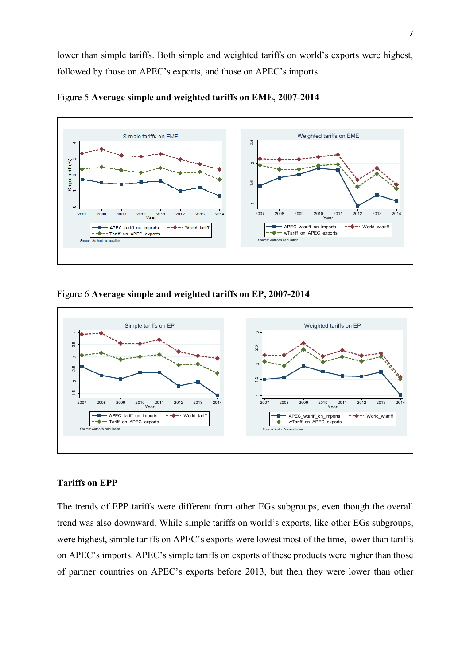lower than simple tariffs. Both simple and weighted tariffs on world's exports were highest, followed by those on APEC's exports, and those on APEC's imports.





Figure 6 **Average simple and weighted tariffs on EP, 2007-2014**



## **Tariffs on EPP**

The trends of EPP tariffs were different from other EGs subgroups, even though the overall trend was also downward. While simple tariffs on world's exports, like other EGs subgroups, were highest, simple tariffs on APEC's exports were lowest most of the time, lower than tariffs on APEC's imports. APEC's simple tariffs on exports of these products were higher than those of partner countries on APEC's exports before 2013, but then they were lower than other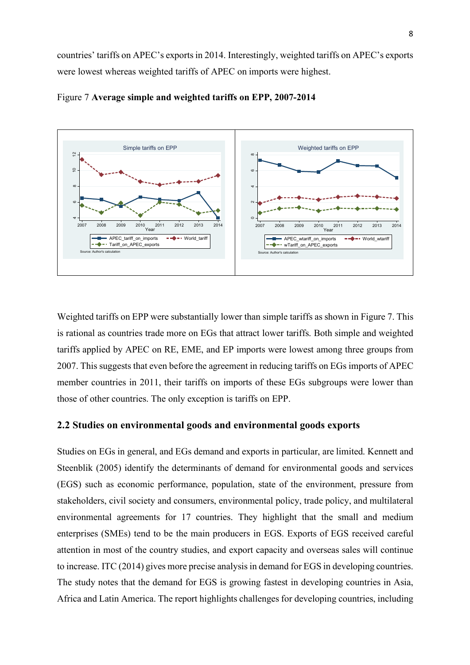countries' tariffs on APEC's exports in 2014. Interestingly, weighted tariffs on APEC's exports were lowest whereas weighted tariffs of APEC on imports were highest.





Weighted tariffs on EPP were substantially lower than simple tariffs as shown in Figure 7. This is rational as countries trade more on EGs that attract lower tariffs. Both simple and weighted tariffs applied by APEC on RE, EME, and EP imports were lowest among three groups from 2007. This suggests that even before the agreement in reducing tariffs on EGs imports of APEC member countries in 2011, their tariffs on imports of these EGs subgroups were lower than those of other countries. The only exception is tariffs on EPP.

#### **2.2 Studies on environmental goods and environmental goods exports**

Studies on EGs in general, and EGs demand and exports in particular, are limited. Kennett and Steenblik (2005) identify the determinants of demand for environmental goods and services (EGS) such as economic performance, population, state of the environment, pressure from stakeholders, civil society and consumers, environmental policy, trade policy, and multilateral environmental agreements for 17 countries. They highlight that the small and medium enterprises (SMEs) tend to be the main producers in EGS. Exports of EGS received careful attention in most of the country studies, and export capacity and overseas sales will continue to increase. ITC (2014) gives more precise analysis in demand for EGS in developing countries. The study notes that the demand for EGS is growing fastest in developing countries in Asia, Africa and Latin America. The report highlights challenges for developing countries, including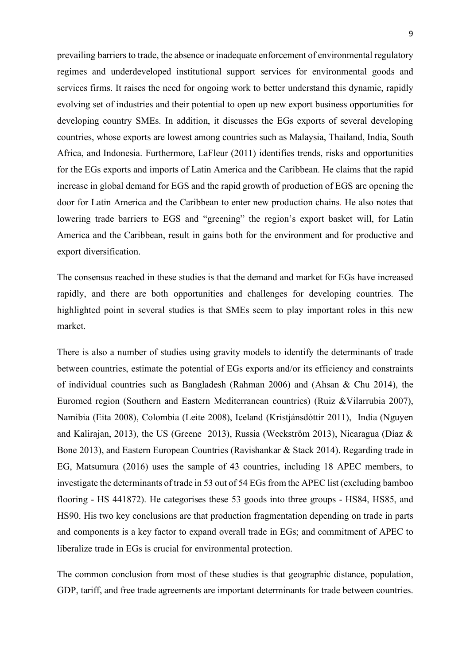prevailing barriers to trade, the absence or inadequate enforcement of environmental regulatory regimes and underdeveloped institutional support services for environmental goods and services firms. It raises the need for ongoing work to better understand this dynamic, rapidly evolving set of industries and their potential to open up new export business opportunities for developing country SMEs. In addition, it discusses the EGs exports of several developing countries, whose exports are lowest among countries such as Malaysia, Thailand, India, South Africa, and Indonesia. Furthermore, LaFleur (2011) identifies trends, risks and opportunities for the EGs exports and imports of Latin America and the Caribbean. He claims that the rapid increase in global demand for EGS and the rapid growth of production of EGS are opening the door for Latin America and the Caribbean to enter new production chains. He also notes that lowering trade barriers to EGS and "greening" the region's export basket will, for Latin America and the Caribbean, result in gains both for the environment and for productive and export diversification.

The consensus reached in these studies is that the demand and market for EGs have increased rapidly, and there are both opportunities and challenges for developing countries. The highlighted point in several studies is that SMEs seem to play important roles in this new market.

There is also a number of studies using gravity models to identify the determinants of trade between countries, estimate the potential of EGs exports and/or its efficiency and constraints of individual countries such as Bangladesh (Rahman 2006) and (Ahsan & Chu 2014), the Euromed region (Southern and Eastern Mediterranean countries) (Ruiz &Vilarrubia 2007), Namibia (Eita 2008), Colombia (Leite 2008), Iceland (Kristjánsdóttir 2011), India (Nguyen and Kalirajan, 2013), the US (Greene 2013), Russia (Weckström 2013), Nicaragua (Díaz & Bone 2013), and Eastern European Countries (Ravishankar & Stack 2014). Regarding trade in EG, Matsumura (2016) uses the sample of 43 countries, including 18 APEC members, to investigate the determinants of trade in 53 out of 54 EGs from the APEC list (excluding bamboo flooring - HS 441872). He categorises these 53 goods into three groups - HS84, HS85, and HS90. His two key conclusions are that production fragmentation depending on trade in parts and components is a key factor to expand overall trade in EGs; and commitment of APEC to liberalize trade in EGs is crucial for environmental protection.

The common conclusion from most of these studies is that geographic distance, population, GDP, tariff, and free trade agreements are important determinants for trade between countries.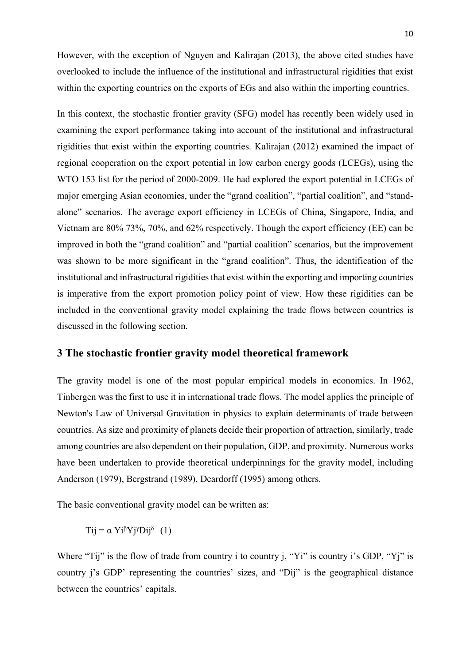However, with the exception of Nguyen and Kalirajan (2013), the above cited studies have overlooked to include the influence of the institutional and infrastructural rigidities that exist within the exporting countries on the exports of EGs and also within the importing countries.

In this context, the stochastic frontier gravity (SFG) model has recently been widely used in examining the export performance taking into account of the institutional and infrastructural rigidities that exist within the exporting countries. Kalirajan (2012) examined the impact of regional cooperation on the export potential in low carbon energy goods (LCEGs), using the WTO 153 list for the period of 2000-2009. He had explored the export potential in LCEGs of major emerging Asian economies, under the "grand coalition", "partial coalition", and "standalone" scenarios. The average export efficiency in LCEGs of China, Singapore, India, and Vietnam are 80% 73%, 70%, and 62% respectively. Though the export efficiency (EE) can be improved in both the "grand coalition" and "partial coalition" scenarios, but the improvement was shown to be more significant in the "grand coalition". Thus, the identification of the institutional and infrastructural rigidities that exist within the exporting and importing countries is imperative from the export promotion policy point of view. How these rigidities can be included in the conventional gravity model explaining the trade flows between countries is discussed in the following section.

## **3 The stochastic frontier gravity model theoretical framework**

The gravity model is one of the most popular empirical models in economics. In 1962, Tinbergen was the first to use it in international trade flows. The model applies the principle of Newton's Law of Universal Gravitation in physics to explain determinants of trade between countries. As size and proximity of planets decide their proportion of attraction, similarly, trade among countries are also dependent on their population, GDP, and proximity. Numerous works have been undertaken to provide theoretical underpinnings for the gravity model, including Anderson (1979), Bergstrand (1989), Deardorff (1995) among others.

The basic conventional gravity model can be written as:

Tij =  $\alpha$  Yi<sup> $\beta$ </sup>Yj<sup>γ</sup>Dij<sup> $\delta$ </sup> (1)

Where "Tij" is the flow of trade from country i to country j, "Yi" is country i's GDP, "Yi" is country j's GDP' representing the countries' sizes, and "Dij" is the geographical distance between the countries' capitals.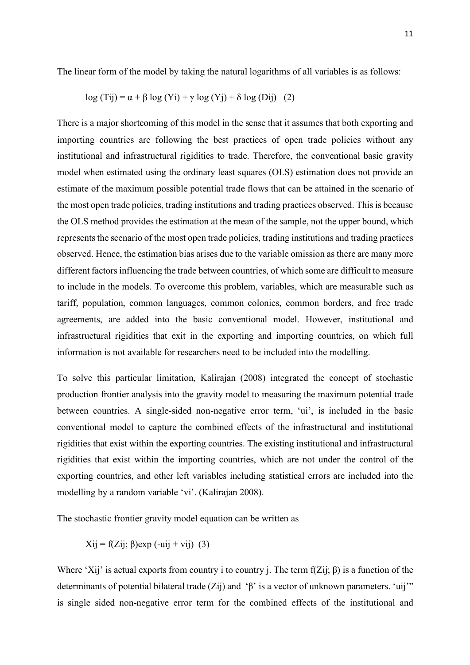$$
log (Tij) = \alpha + \beta log (Yi) + \gamma log (Yj) + \delta log (Dij) (2)
$$

There is a major shortcoming of this model in the sense that it assumes that both exporting and importing countries are following the best practices of open trade policies without any institutional and infrastructural rigidities to trade. Therefore, the conventional basic gravity model when estimated using the ordinary least squares (OLS) estimation does not provide an estimate of the maximum possible potential trade flows that can be attained in the scenario of the most open trade policies, trading institutions and trading practices observed. This is because the OLS method provides the estimation at the mean of the sample, not the upper bound, which represents the scenario of the most open trade policies, trading institutions and trading practices observed. Hence, the estimation bias arises due to the variable omission as there are many more different factors influencing the trade between countries, of which some are difficult to measure to include in the models. To overcome this problem, variables, which are measurable such as tariff, population, common languages, common colonies, common borders, and free trade agreements, are added into the basic conventional model. However, institutional and infrastructural rigidities that exit in the exporting and importing countries, on which full information is not available for researchers need to be included into the modelling.

To solve this particular limitation, Kalirajan (2008) integrated the concept of stochastic production frontier analysis into the gravity model to measuring the maximum potential trade between countries. A single-sided non-negative error term, 'ui', is included in the basic conventional model to capture the combined effects of the infrastructural and institutional rigidities that exist within the exporting countries. The existing institutional and infrastructural rigidities that exist within the importing countries, which are not under the control of the exporting countries, and other left variables including statistical errors are included into the modelling by a random variable 'vi'. (Kalirajan 2008).

The stochastic frontier gravity model equation can be written as

$$
Xij = f(Zij; \beta) \exp(-uij + vij)
$$
 (3)

Where 'Xij' is actual exports from country i to country j. The term  $f(Z_{ij}; \beta)$  is a function of the determinants of potential bilateral trade  $(Z_{ij})$  and ' $\beta$ ' is a vector of unknown parameters. 'uij'" is single sided non-negative error term for the combined effects of the institutional and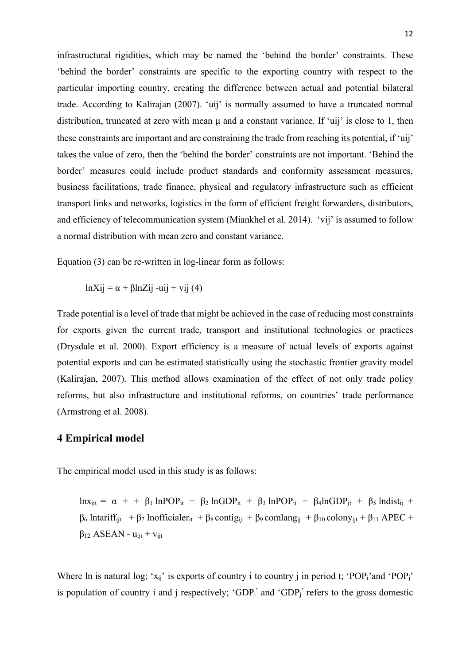infrastructural rigidities, which may be named the 'behind the border' constraints. These 'behind the border' constraints are specific to the exporting country with respect to the particular importing country, creating the difference between actual and potential bilateral trade. According to Kalirajan (2007). 'uij' is normally assumed to have a truncated normal distribution, truncated at zero with mean  $\mu$  and a constant variance. If 'uij' is close to 1, then these constraints are important and are constraining the trade from reaching its potential, if 'uij' takes the value of zero, then the 'behind the border' constraints are not important. 'Behind the border' measures could include product standards and conformity assessment measures, business facilitations, trade finance, physical and regulatory infrastructure such as efficient transport links and networks, logistics in the form of efficient freight forwarders, distributors, and efficiency of telecommunication system (Miankhel et al. 2014). 'vij' is assumed to follow a normal distribution with mean zero and constant variance.

Equation (3) can be re-written in log-linear form as follows:

lnXij =  $\alpha$  + βlnZij -uij + vij (4)

Trade potential is a level of trade that might be achieved in the case of reducing most constraints for exports given the current trade, transport and institutional technologies or practices (Drysdale et al. 2000). Export efficiency is a measure of actual levels of exports against potential exports and can be estimated statistically using the stochastic frontier gravity model (Kalirajan, 2007). This method allows examination of the effect of not only trade policy reforms, but also infrastructure and institutional reforms, on countries' trade performance (Armstrong et al. 2008).

## **4 Empirical model**

The empirical model used in this study is as follows:

lnxijt = α + + β<sup>1</sup> lnPOPit + β<sup>2</sup> lnGDPit + β<sup>3</sup> lnPOPjt + β4lnGDPjt + β<sup>5</sup> lndistij +  $β<sub>6</sub>$  lntariff<sub>ijt</sub> + β<sub>7</sub> lnofficialer<sub>it</sub> + β<sub>8</sub> contig<sub>ij</sub> + β<sub>9</sub> comlang<sub>ij</sub> + β<sub>10</sub> colony<sub>ijt</sub> + β<sub>11</sub> APEC +  $β<sub>12</sub> ASEAN - u<sub>ii</sub> + v<sub>ii</sub>$ 

Where ln is natural log; 'x<sub>ij</sub>' is exports of country i to country j in period t; 'POP<sub>i</sub>'and 'POP<sub>i</sub>' is population of country i and j respectively; 'GDP<sub>i</sub>' and 'GDP<sub>j</sub>' refers to the gross domestic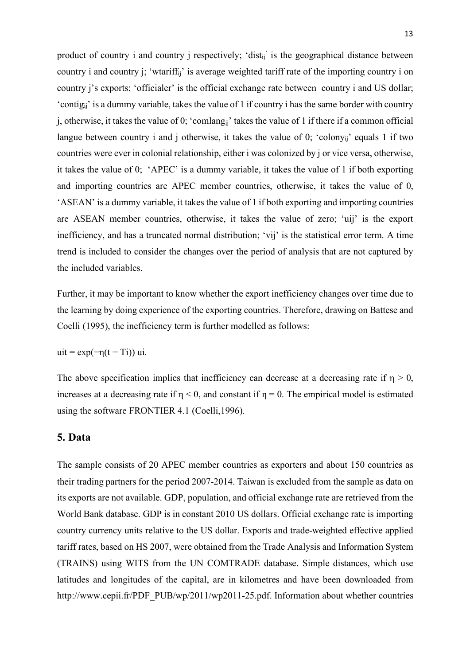product of country i and country j respectively; 'dist<sub>ii</sub>' is the geographical distance between country i and country j; 'wtariffij' is average weighted tariff rate of the importing country i on country j's exports; 'officialer' is the official exchange rate between country i and US dollar; 'contigij' is a dummy variable, takes the value of 1 if country i has the same border with country j, otherwise, it takes the value of 0; 'comlang<sub>ii</sub>' takes the value of 1 if there if a common official langue between country i and j otherwise, it takes the value of 0; 'colony<sub>ii</sub>' equals 1 if two countries were ever in colonial relationship, either i was colonized by j or vice versa, otherwise, it takes the value of 0; 'APEC' is a dummy variable, it takes the value of 1 if both exporting and importing countries are APEC member countries, otherwise, it takes the value of 0, 'ASEAN' is a dummy variable, it takes the value of 1 if both exporting and importing countries are ASEAN member countries, otherwise, it takes the value of zero; 'uij' is the export inefficiency, and has a truncated normal distribution; 'vij' is the statistical error term. A time trend is included to consider the changes over the period of analysis that are not captured by the included variables.

Further, it may be important to know whether the export inefficiency changes over time due to the learning by doing experience of the exporting countries. Therefore, drawing on Battese and Coelli (1995), the inefficiency term is further modelled as follows:

uit =  $\exp(-\eta(t-Ti))$  ui.

The above specification implies that inefficiency can decrease at a decreasing rate if  $\eta > 0$ , increases at a decreasing rate if  $\eta$  < 0, and constant if  $\eta$  = 0. The empirical model is estimated using the software FRONTIER 4.1 (Coelli,1996).

## **5. Data**

The sample consists of 20 APEC member countries as exporters and about 150 countries as their trading partners for the period 2007-2014. Taiwan is excluded from the sample as data on its exports are not available. GDP, population, and official exchange rate are retrieved from the World Bank database. GDP is in constant 2010 US dollars. Official exchange rate is importing country currency units relative to the US dollar. Exports and trade-weighted effective applied tariff rates, based on HS 2007, were obtained from the Trade Analysis and Information System (TRAINS) using WITS from the UN COMTRADE database. Simple distances, which use latitudes and longitudes of the capital, are in kilometres and have been downloaded from http://www.cepii.fr/PDF\_PUB/wp/2011/wp2011-25.pdf. Information about whether countries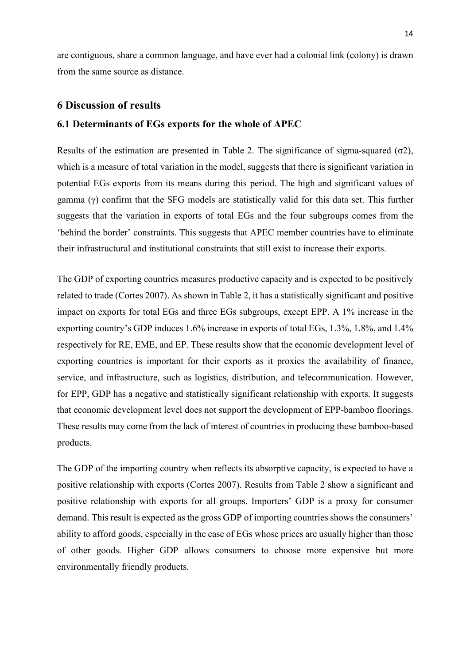are contiguous, share a common language, and have ever had a colonial link (colony) is drawn from the same source as distance.

#### **6 Discussion of results**

#### **6.1 Determinants of EGs exports for the whole of APEC**

Results of the estimation are presented in Table 2. The significance of sigma-squared  $(σ2)$ , which is a measure of total variation in the model, suggests that there is significant variation in potential EGs exports from its means during this period. The high and significant values of gamma (γ) confirm that the SFG models are statistically valid for this data set. This further suggests that the variation in exports of total EGs and the four subgroups comes from the 'behind the border' constraints. This suggests that APEC member countries have to eliminate their infrastructural and institutional constraints that still exist to increase their exports.

The GDP of exporting countries measures productive capacity and is expected to be positively related to trade (Cortes 2007). As shown in Table 2, it has a statistically significant and positive impact on exports for total EGs and three EGs subgroups, except EPP. A 1% increase in the exporting country's GDP induces 1.6% increase in exports of total EGs, 1.3%, 1.8%, and 1.4% respectively for RE, EME, and EP. These results show that the economic development level of exporting countries is important for their exports as it proxies the availability of finance, service, and infrastructure, such as logistics, distribution, and telecommunication. However, for EPP, GDP has a negative and statistically significant relationship with exports. It suggests that economic development level does not support the development of EPP-bamboo floorings. These results may come from the lack of interest of countries in producing these bamboo-based products.

The GDP of the importing country when reflects its absorptive capacity, is expected to have a positive relationship with exports (Cortes 2007). Results from Table 2 show a significant and positive relationship with exports for all groups. Importers' GDP is a proxy for consumer demand. This result is expected as the gross GDP of importing countries shows the consumers' ability to afford goods, especially in the case of EGs whose prices are usually higher than those of other goods. Higher GDP allows consumers to choose more expensive but more environmentally friendly products.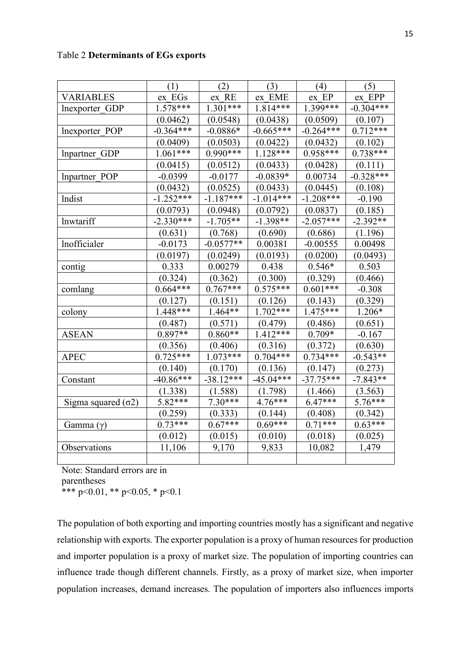| <b>Table 2 Determinants of EGs exports</b> |  |  |
|--------------------------------------------|--|--|
|--------------------------------------------|--|--|

|                            | (1)         | (2)         | (3)         | (4)         | (5)         |
|----------------------------|-------------|-------------|-------------|-------------|-------------|
| <b>VARIABLES</b>           | ex EGs      | ex RE       | ex EME      | ex EP       | ex EPP      |
| lnexporter GDP             | 1.578***    | $1.301***$  | 1.814***    | 1.399***    | $-0.304***$ |
|                            | (0.0462)    | (0.0548)    | (0.0438)    | (0.0509)    | (0.107)     |
| lnexporter POP             | $-0.364***$ | $-0.0886*$  | $-0.665***$ | $-0.264***$ | $0.712***$  |
|                            | (0.0409)    | (0.0503)    | (0.0422)    | (0.0432)    | (0.102)     |
| Inpartner GDP              | $1.061***$  | $0.990***$  | $1.128***$  | $0.958***$  | $0.738***$  |
|                            | (0.0415)    | (0.0512)    | (0.0433)    | (0.0428)    | (0.111)     |
| Inpartner POP              | $-0.0399$   | $-0.0177$   | $-0.0839*$  | 0.00734     | $-0.328***$ |
|                            | (0.0432)    | (0.0525)    | (0.0433)    | (0.0445)    | (0.108)     |
| lndist                     | $-1.252***$ | $-1.187***$ | $-1.014***$ | $-1.208***$ | $-0.190$    |
|                            | (0.0793)    | (0.0948)    | (0.0792)    | (0.0837)    | (0.185)     |
| lnwtariff                  | $-2.330***$ | $-1.705**$  | $-1.398**$  | $-2.057***$ | $-2.392**$  |
|                            | (0.631)     | (0.768)     | (0.690)     | (0.686)     | (1.196)     |
| lnofficialer               | $-0.0173$   | $-0.0577**$ | 0.00381     | $-0.00555$  | 0.00498     |
|                            | (0.0197)    | (0.0249)    | (0.0193)    | (0.0200)    | (0.0493)    |
| contig                     | 0.333       | 0.00279     | 0.438       | $0.546*$    | 0.503       |
|                            | (0.324)     | (0.362)     | (0.300)     | (0.329)     | (0.466)     |
| comlang                    | $0.664***$  | $0.767***$  | $0.575***$  | $0.601***$  | $-0.308$    |
|                            | (0.127)     | (0.151)     | (0.126)     | (0.143)     | (0.329)     |
| colony                     | 1.448***    | 1.464**     | $1.702***$  | 1.475***    | 1.206*      |
|                            | (0.487)     | (0.571)     | (0.479)     | (0.486)     | (0.651)     |
| <b>ASEAN</b>               | $0.897**$   | $0.860**$   | $1.412***$  | $0.709*$    | $-0.167$    |
|                            | (0.356)     | (0.406)     | (0.316)     | (0.372)     | (0.630)     |
| <b>APEC</b>                | $0.725***$  | $1.073***$  | $0.704***$  | $0.734***$  | $-0.543**$  |
|                            | (0.140)     | (0.170)     | (0.136)     | (0.147)     | (0.273)     |
| Constant                   | $-40.86***$ | $-38.12***$ | $-45.04***$ | $-37.75***$ | $-7.843**$  |
|                            | (1.338)     | (1.588)     | (1.798)     | (1.466)     | (3.563)     |
| Sigma squared $(\sigma 2)$ | 5.82***     | $7.30***$   | $4.76***$   | $6.47***$   | $5.76***$   |
|                            | (0.259)     | (0.333)     | (0.144)     | (0.408)     | (0.342)     |
| Gamma $(\gamma)$           | $0.73***$   | $0.67***$   | $0.69***$   | $0.71***$   | $0.63***$   |
|                            | (0.012)     | (0.015)     | (0.010)     | (0.018)     | (0.025)     |
| Observations               | 11,106      | 9,170       | 9,833       | 10,082      | 1,479       |
|                            |             |             |             |             |             |

Note: Standard errors are in parentheses

\*\*\* p<0.01, \*\* p<0.05, \* p<0.1

The population of both exporting and importing countries mostly has a significant and negative relationship with exports. The exporter population is a proxy of human resources for production and importer population is a proxy of market size. The population of importing countries can influence trade though different channels. Firstly, as a proxy of market size, when importer population increases, demand increases. The population of importers also influences imports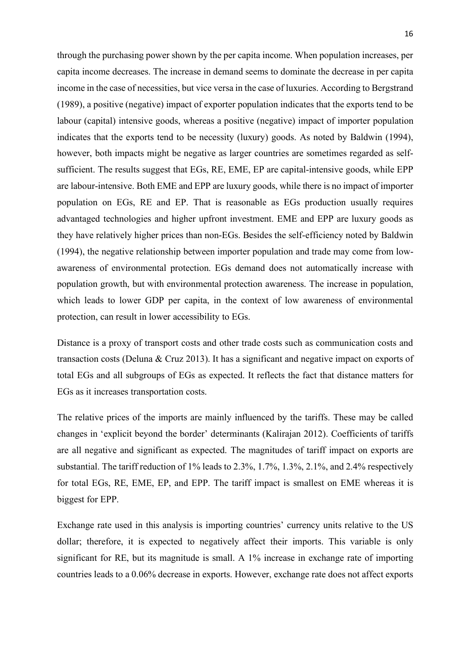through the purchasing power shown by the per capita income. When population increases, per capita income decreases. The increase in demand seems to dominate the decrease in per capita income in the case of necessities, but vice versa in the case of luxuries. According to Bergstrand (1989), a positive (negative) impact of exporter population indicates that the exports tend to be labour (capital) intensive goods, whereas a positive (negative) impact of importer population indicates that the exports tend to be necessity (luxury) goods. As noted by Baldwin (1994), however, both impacts might be negative as larger countries are sometimes regarded as selfsufficient. The results suggest that EGs, RE, EME, EP are capital-intensive goods, while EPP are labour-intensive. Both EME and EPP are luxury goods, while there is no impact of importer population on EGs, RE and EP. That is reasonable as EGs production usually requires advantaged technologies and higher upfront investment. EME and EPP are luxury goods as they have relatively higher prices than non-EGs. Besides the self-efficiency noted by Baldwin (1994), the negative relationship between importer population and trade may come from lowawareness of environmental protection. EGs demand does not automatically increase with population growth, but with environmental protection awareness. The increase in population, which leads to lower GDP per capita, in the context of low awareness of environmental protection, can result in lower accessibility to EGs.

Distance is a proxy of transport costs and other trade costs such as communication costs and transaction costs (Deluna & Cruz 2013). It has a significant and negative impact on exports of total EGs and all subgroups of EGs as expected. It reflects the fact that distance matters for EGs as it increases transportation costs.

The relative prices of the imports are mainly influenced by the tariffs. These may be called changes in 'explicit beyond the border' determinants (Kalirajan 2012). Coefficients of tariffs are all negative and significant as expected. The magnitudes of tariff impact on exports are substantial. The tariff reduction of 1% leads to 2.3%, 1.7%, 1.3%, 2.1%, and 2.4% respectively for total EGs, RE, EME, EP, and EPP. The tariff impact is smallest on EME whereas it is biggest for EPP.

Exchange rate used in this analysis is importing countries' currency units relative to the US dollar; therefore, it is expected to negatively affect their imports. This variable is only significant for RE, but its magnitude is small. A 1% increase in exchange rate of importing countries leads to a 0.06% decrease in exports. However, exchange rate does not affect exports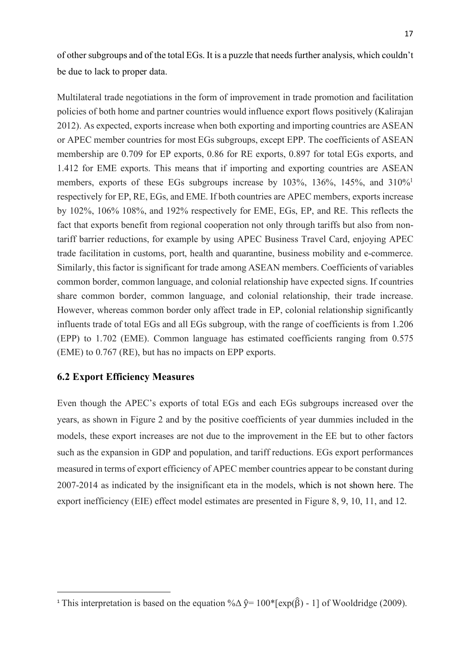of other subgroups and of the total EGs. It is a puzzle that needs further analysis, which couldn't be due to lack to proper data.

Multilateral trade negotiations in the form of improvement in trade promotion and facilitation policies of both home and partner countries would influence export flows positively (Kalirajan 2012). As expected, exports increase when both exporting and importing countries are ASEAN or APEC member countries for most EGs subgroups, except EPP. The coefficients of ASEAN membership are 0.709 for EP exports, 0.86 for RE exports, 0.897 for total EGs exports, and 1.412 for EME exports. This means that if importing and exporting countries are ASEAN members, exports of these EGs subgroups increase by 103%, 136%, 145%, and 310%<sup>1</sup> respectively for EP, RE, EGs, and EME. If both countries are APEC members, exports increase by 102%, 106% 108%, and 192% respectively for EME, EGs, EP, and RE. This reflects the fact that exports benefit from regional cooperation not only through tariffs but also from nontariff barrier reductions, for example by using APEC Business Travel Card, enjoying APEC trade facilitation in customs, port, health and quarantine, business mobility and e-commerce. Similarly, this factor is significant for trade among ASEAN members. Coefficients of variables common border, common language, and colonial relationship have expected signs. If countries share common border, common language, and colonial relationship, their trade increase. However, whereas common border only affect trade in EP, colonial relationship significantly influents trade of total EGs and all EGs subgroup, with the range of coefficients is from 1.206 (EPP) to 1.702 (EME). Common language has estimated coefficients ranging from 0.575 (EME) to 0.767 (RE), but has no impacts on EPP exports.

## **6.2 Export Efficiency Measures**

 $\overline{a}$ 

Even though the APEC's exports of total EGs and each EGs subgroups increased over the years, as shown in Figure 2 and by the positive coefficients of year dummies included in the models, these export increases are not due to the improvement in the EE but to other factors such as the expansion in GDP and population, and tariff reductions. EGs export performances measured in terms of export efficiency of APEC member countries appear to be constant during 2007-2014 as indicated by the insignificant eta in the models, which is not shown here. The export inefficiency (EIE) effect model estimates are presented in Figure 8, 9, 10, 11, and 12.

<sup>&</sup>lt;sup>1</sup> This interpretation is based on the equation % $\Delta \hat{y} = 100^*$ [exp( $\hat{\beta}$ ) - 1] of Wooldridge (2009).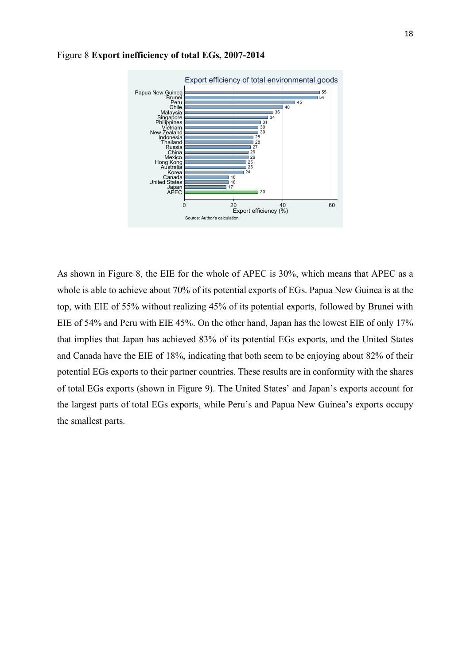

#### Figure 8 **Export inefficiency of total EGs, 2007-2014**

As shown in Figure 8, the EIE for the whole of APEC is 30%, which means that APEC as a whole is able to achieve about 70% of its potential exports of EGs. Papua New Guinea is at the top, with EIE of 55% without realizing 45% of its potential exports, followed by Brunei with EIE of 54% and Peru with EIE 45%. On the other hand, Japan has the lowest EIE of only 17% that implies that Japan has achieved 83% of its potential EGs exports, and the United States and Canada have the EIE of 18%, indicating that both seem to be enjoying about 82% of their potential EGs exports to their partner countries. These results are in conformity with the shares of total EGs exports (shown in Figure 9). The United States' and Japan's exports account for the largest parts of total EGs exports, while Peru's and Papua New Guinea's exports occupy the smallest parts.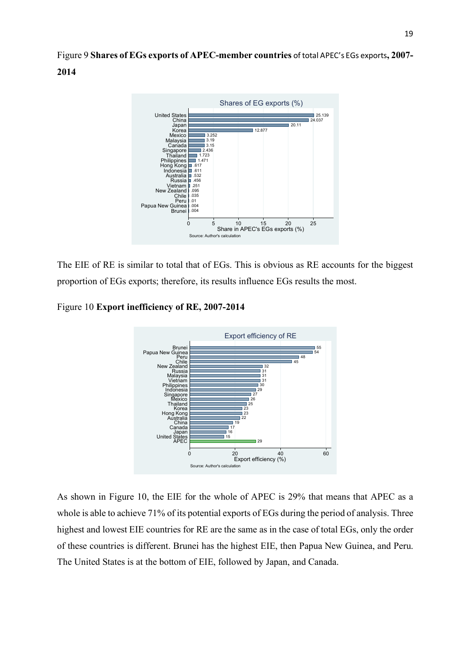Figure 9 **Shares of EGs exports of APEC-member countries** of total APEC's EGs exports**, 2007- 2014**



The EIE of RE is similar to total that of EGs. This is obvious as RE accounts for the biggest proportion of EGs exports; therefore, its results influence EGs results the most.

Figure 10 **Export inefficiency of RE, 2007-2014**



As shown in Figure 10, the EIE for the whole of APEC is 29% that means that APEC as a whole is able to achieve 71% of its potential exports of EGs during the period of analysis. Three highest and lowest EIE countries for RE are the same as in the case of total EGs, only the order of these countries is different. Brunei has the highest EIE, then Papua New Guinea, and Peru. The United States is at the bottom of EIE, followed by Japan, and Canada.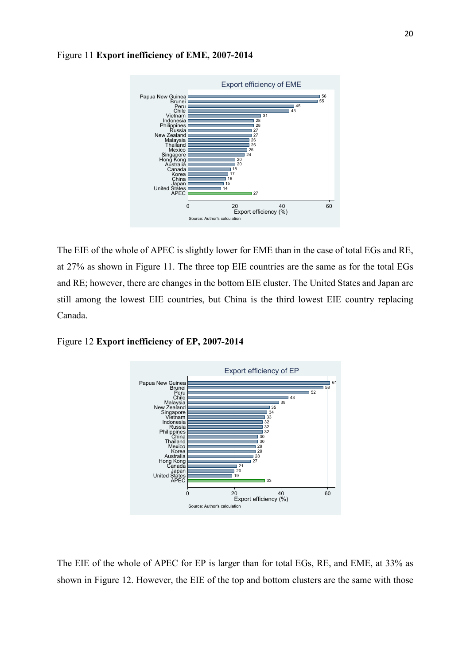

Figure 11 **Export inefficiency of EME, 2007-2014**

The EIE of the whole of APEC is slightly lower for EME than in the case of total EGs and RE, at 27% as shown in Figure 11. The three top EIE countries are the same as for the total EGs and RE; however, there are changes in the bottom EIE cluster. The United States and Japan are still among the lowest EIE countries, but China is the third lowest EIE country replacing Canada.

Figure 12 **Export inefficiency of EP, 2007-2014**



The EIE of the whole of APEC for EP is larger than for total EGs, RE, and EME, at 33% as shown in Figure 12. However, the EIE of the top and bottom clusters are the same with those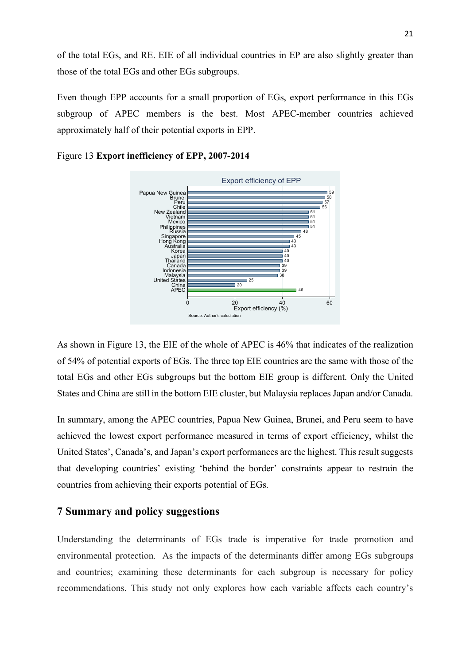of the total EGs, and RE. EIE of all individual countries in EP are also slightly greater than those of the total EGs and other EGs subgroups.

Even though EPP accounts for a small proportion of EGs, export performance in this EGs subgroup of APEC members is the best. Most APEC-member countries achieved approximately half of their potential exports in EPP.



Figure 13 **Export inefficiency of EPP, 2007-2014**

As shown in Figure 13, the EIE of the whole of APEC is 46% that indicates of the realization of 54% of potential exports of EGs. The three top EIE countries are the same with those of the total EGs and other EGs subgroups but the bottom EIE group is different. Only the United States and China are still in the bottom EIE cluster, but Malaysia replaces Japan and/or Canada.

In summary, among the APEC countries, Papua New Guinea, Brunei, and Peru seem to have achieved the lowest export performance measured in terms of export efficiency, whilst the United States', Canada's, and Japan's export performances are the highest. This result suggests that developing countries' existing 'behind the border' constraints appear to restrain the countries from achieving their exports potential of EGs.

## **7 Summary and policy suggestions**

Understanding the determinants of EGs trade is imperative for trade promotion and environmental protection. As the impacts of the determinants differ among EGs subgroups and countries; examining these determinants for each subgroup is necessary for policy recommendations. This study not only explores how each variable affects each country's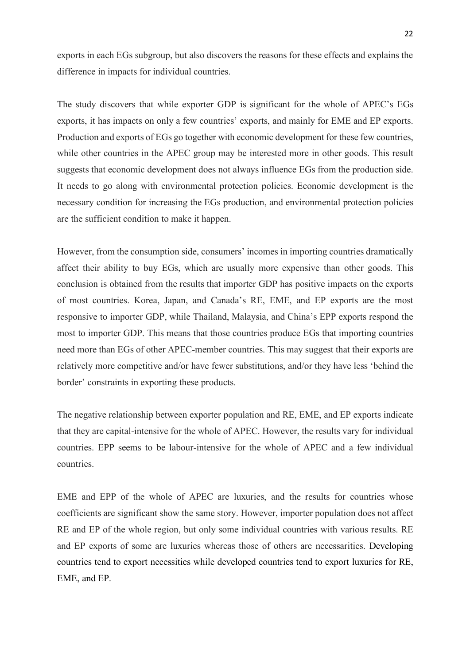exports in each EGs subgroup, but also discovers the reasons for these effects and explains the difference in impacts for individual countries.

The study discovers that while exporter GDP is significant for the whole of APEC's EGs exports, it has impacts on only a few countries' exports, and mainly for EME and EP exports. Production and exports of EGs go together with economic development for these few countries, while other countries in the APEC group may be interested more in other goods. This result suggests that economic development does not always influence EGs from the production side. It needs to go along with environmental protection policies. Economic development is the necessary condition for increasing the EGs production, and environmental protection policies are the sufficient condition to make it happen.

However, from the consumption side, consumers' incomes in importing countries dramatically affect their ability to buy EGs, which are usually more expensive than other goods. This conclusion is obtained from the results that importer GDP has positive impacts on the exports of most countries. Korea, Japan, and Canada's RE, EME, and EP exports are the most responsive to importer GDP, while Thailand, Malaysia, and China's EPP exports respond the most to importer GDP. This means that those countries produce EGs that importing countries need more than EGs of other APEC-member countries. This may suggest that their exports are relatively more competitive and/or have fewer substitutions, and/or they have less 'behind the border' constraints in exporting these products.

The negative relationship between exporter population and RE, EME, and EP exports indicate that they are capital-intensive for the whole of APEC. However, the results vary for individual countries. EPP seems to be labour-intensive for the whole of APEC and a few individual countries.

EME and EPP of the whole of APEC are luxuries, and the results for countries whose coefficients are significant show the same story. However, importer population does not affect RE and EP of the whole region, but only some individual countries with various results. RE and EP exports of some are luxuries whereas those of others are necessarities. Developing countries tend to export necessities while developed countries tend to export luxuries for RE, EME, and EP.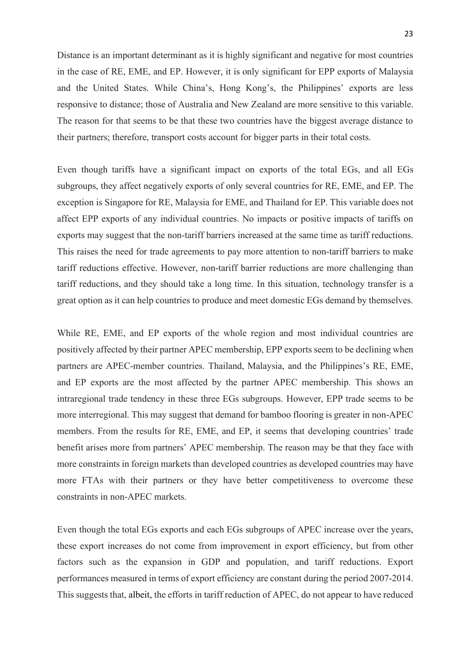Distance is an important determinant as it is highly significant and negative for most countries in the case of RE, EME, and EP. However, it is only significant for EPP exports of Malaysia and the United States. While China's, Hong Kong's, the Philippines' exports are less responsive to distance; those of Australia and New Zealand are more sensitive to this variable. The reason for that seems to be that these two countries have the biggest average distance to their partners; therefore, transport costs account for bigger parts in their total costs.

Even though tariffs have a significant impact on exports of the total EGs, and all EGs subgroups, they affect negatively exports of only several countries for RE, EME, and EP. The exception is Singapore for RE, Malaysia for EME, and Thailand for EP. This variable does not affect EPP exports of any individual countries. No impacts or positive impacts of tariffs on exports may suggest that the non-tariff barriers increased at the same time as tariff reductions. This raises the need for trade agreements to pay more attention to non-tariff barriers to make tariff reductions effective. However, non-tariff barrier reductions are more challenging than tariff reductions, and they should take a long time. In this situation, technology transfer is a great option as it can help countries to produce and meet domestic EGs demand by themselves.

While RE, EME, and EP exports of the whole region and most individual countries are positively affected by their partner APEC membership, EPP exports seem to be declining when partners are APEC-member countries. Thailand, Malaysia, and the Philippines's RE, EME, and EP exports are the most affected by the partner APEC membership. This shows an intraregional trade tendency in these three EGs subgroups. However, EPP trade seems to be more interregional. This may suggest that demand for bamboo flooring is greater in non-APEC members. From the results for RE, EME, and EP, it seems that developing countries' trade benefit arises more from partners' APEC membership. The reason may be that they face with more constraints in foreign markets than developed countries as developed countries may have more FTAs with their partners or they have better competitiveness to overcome these constraints in non-APEC markets.

Even though the total EGs exports and each EGs subgroups of APEC increase over the years, these export increases do not come from improvement in export efficiency, but from other factors such as the expansion in GDP and population, and tariff reductions. Export performances measured in terms of export efficiency are constant during the period 2007-2014. This suggests that, albeit, the efforts in tariff reduction of APEC, do not appear to have reduced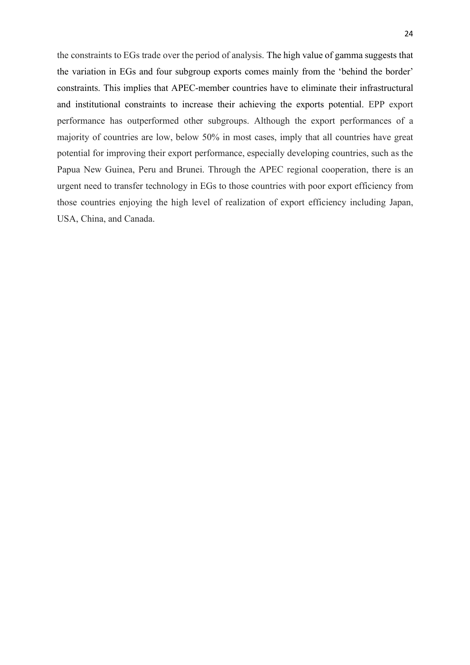the constraints to EGs trade over the period of analysis. The high value of gamma suggests that the variation in EGs and four subgroup exports comes mainly from the 'behind the border' constraints. This implies that APEC-member countries have to eliminate their infrastructural and institutional constraints to increase their achieving the exports potential. EPP export performance has outperformed other subgroups. Although the export performances of a majority of countries are low, below 50% in most cases, imply that all countries have great potential for improving their export performance, especially developing countries, such as the Papua New Guinea, Peru and Brunei. Through the APEC regional cooperation, there is an urgent need to transfer technology in EGs to those countries with poor export efficiency from those countries enjoying the high level of realization of export efficiency including Japan, USA, China, and Canada.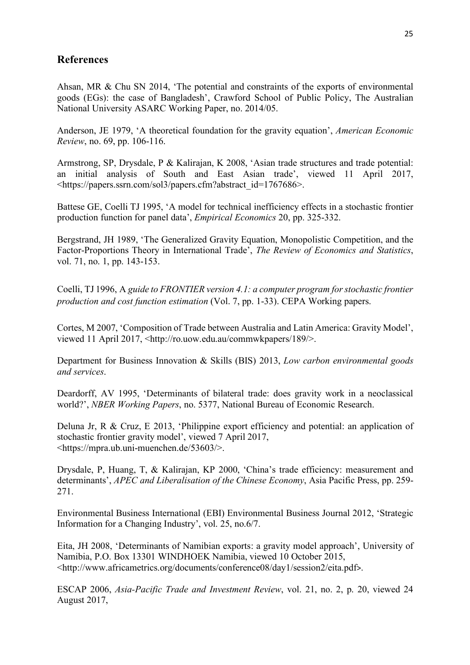## **References**

Ahsan, MR & Chu SN 2014, 'The potential and constraints of the exports of environmental goods (EGs): the case of Bangladesh', Crawford School of Public Policy, The Australian National University ASARC Working Paper, no. 2014/05.

Anderson, JE 1979, 'A theoretical foundation for the gravity equation', *American Economic Review*, no. 69, pp. 106-116.

Armstrong, SP, Drysdale, P & Kalirajan, K 2008, 'Asian trade structures and trade potential: an initial analysis of South and East Asian trade', viewed 11 April 2017, <https://papers.ssrn.com/sol3/papers.cfm?abstract\_id=1767686>.

Battese GE, Coelli TJ 1995, 'A model for technical inefficiency effects in a stochastic frontier production function for panel data', *Empirical Economics* 20, pp. 325-332.

Bergstrand, JH 1989, 'The Generalized Gravity Equation, Monopolistic Competition, and the Factor-Proportions Theory in International Trade', *The Review of Economics and Statistics*, vol. 71, no. 1, pp. 143-153.

Coelli, TJ 1996, A *guide to FRONTIER version 4.1: a computer program for stochastic frontier production and cost function estimation* (Vol. 7, pp. 1-33). CEPA Working papers.

Cortes, M 2007, 'Composition of Trade between Australia and Latin America: Gravity Model', viewed 11 April 2017, <http://ro.uow.edu.au/commwkpapers/189/>.

Department for Business Innovation & Skills (BIS) 2013, *Low carbon environmental goods and services*.

Deardorff, AV 1995, 'Determinants of bilateral trade: does gravity work in a neoclassical world?', *NBER Working Papers*, no. 5377, National Bureau of Economic Research.

Deluna Jr, R & Cruz, E 2013, 'Philippine export efficiency and potential: an application of stochastic frontier gravity model', viewed 7 April 2017, <https://mpra.ub.uni-muenchen.de/53603/>.

Drysdale, P, Huang, T, & Kalirajan, KP 2000, 'China's trade efficiency: measurement and determinants', *APEC and Liberalisation of the Chinese Economy*, Asia Pacific Press, pp. 259- 271.

Environmental Business International (EBI) Environmental Business Journal 2012, 'Strategic Information for a Changing Industry', vol. 25, no.6/7.

Eita, JH 2008, 'Determinants of Namibian exports: a gravity model approach', University of Namibia, P.O. Box 13301 WINDHOEK Namibia, viewed 10 October 2015, <http://www.africametrics.org/documents/conference08/day1/session2/eita.pdf>.

ESCAP 2006, *Asia-Pacific Trade and Investment Review*, vol. 21, no. 2, p. 20, viewed 24 August 2017,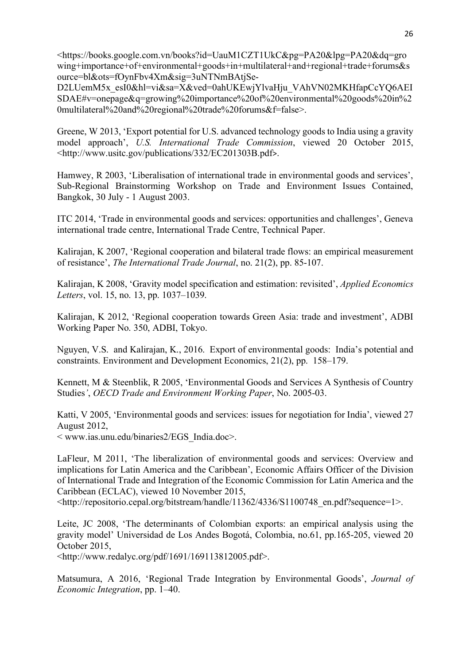<https://books.google.com.vn/books?id=UauM1CZT1UkC&pg=PA20&lpg=PA20&dq=gro wing+importance+of+environmental+goods+in+multilateral+and+regional+trade+forums&s ource=bl&ots=fOynFbv4Xm&sig=3uNTNmBAtjSe-

D2LUemM5x\_esI0&hl=vi&sa=X&ved=0ahUKEwjYlvaHju\_VAhVN02MKHfapCcYQ6AEI SDAE#v=onepage&q=growing%20importance%20of%20environmental%20goods%20in%2 0multilateral%20and%20regional%20trade%20forums&f=false>.

Greene, W 2013, 'Export potential for U.S. advanced technology goods to India using a gravity model approach', *U.S. International Trade Commission*, viewed 20 October 2015, <http://www.usitc.gov/publications/332/EC201303B.pdf>.

Hamwey, R 2003, 'Liberalisation of international trade in environmental goods and services', Sub-Regional Brainstorming Workshop on Trade and Environment Issues Contained, Bangkok, 30 July - 1 August 2003.

ITC 2014, 'Trade in environmental goods and services: opportunities and challenges', Geneva international trade centre, International Trade Centre, Technical Paper.

Kalirajan, K 2007, 'Regional cooperation and bilateral trade flows: an empirical measurement of resistance', *The International Trade Journal*, no. 21(2), pp. 85-107.

Kalirajan, K 2008, 'Gravity model specification and estimation: revisited', *Applied Economics Letters*, vol. 15, no. 13, pp. 1037–1039.

Kalirajan, K 2012, 'Regional cooperation towards Green Asia: trade and investment', ADBI Working Paper No. 350, ADBI, Tokyo.

Nguyen, V.S. and Kalirajan, K., 2016. Export of environmental goods: India's potential and constraints. Environment and Development Economics, 21(2), pp. 158–179.

Kennett, M & Steenblik, R 2005, 'Environmental Goods and Services A Synthesis of Country Studies*'*, *OECD Trade and Environment Working Paper*, No. 2005-03.

Katti, V 2005, 'Environmental goods and services: issues for negotiation for India', viewed 27 August 2012,

< www.ias.unu.edu/binaries2/EGS\_India.doc>.

LaFleur, M 2011, 'The liberalization of environmental goods and services: Overview and implications for Latin America and the Caribbean', Economic Affairs Officer of the Division of International Trade and Integration of the Economic Commission for Latin America and the Caribbean (ECLAC), viewed 10 November 2015,

<http://repositorio.cepal.org/bitstream/handle/11362/4336/S1100748\_en.pdf?sequence=1>.

Leite, JC 2008, 'The determinants of Colombian exports: an empirical analysis using the gravity model' Universidad de Los Andes Bogotá, Colombia, no.61, pp.165-205, viewed 20 October 2015,

<http://www.redalyc.org/pdf/1691/169113812005.pdf>.

Matsumura, A 2016, 'Regional Trade Integration by Environmental Goods', *Journal of Economic Integration*, pp. 1–40.